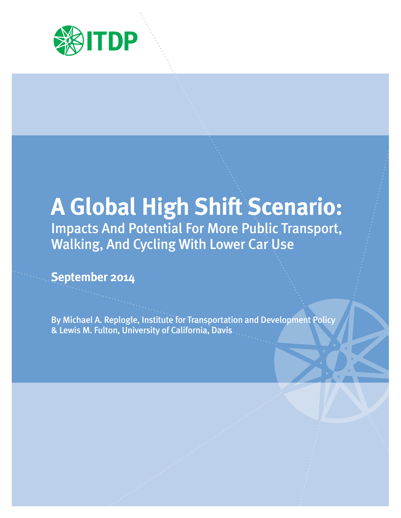

# **A Global High Shift Scenario:**  Impacts And Potential For More Public Transport, Walking, And Cycling With Lower Car Use

**September 2014** 

By Michael A. Replogle, Institute for Transportation and Development Policy & Lewis M. Fulton, University of California, Davis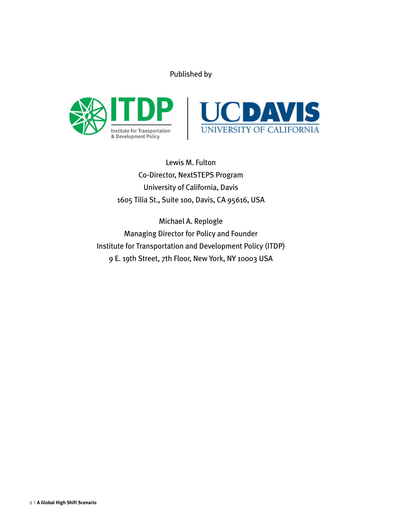# Published by





Lewis M. Fulton Co-Director, NextSTEPS Program University of California, Davis 1605 Tilia St., Suite 100, Davis, CA 95616, USA

Michael A. Replogle Managing Director for Policy and Founder Institute for Transportation and Development Policy (ITDP) 9 E. 19th Street, 7th Floor, New York, NY 10003 USA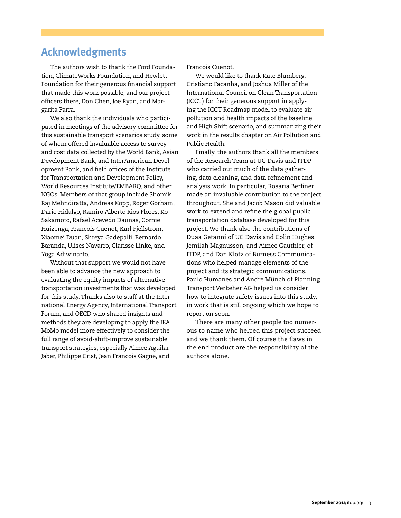# **Acknowledgments**

The authors wish to thank the Ford Foundation, ClimateWorks Foundation, and Hewlett Foundation for their generous financial support that made this work possible, and our project officers there, Don Chen, Joe Ryan, and Margarita Parra.

We also thank the individuals who participated in meetings of the advisory committee for this sustainable transport scenarios study, some of whom offered invaluable access to survey and cost data collected by the World Bank, Asian Development Bank, and InterAmerican Development Bank, and field offices of the Institute for Transportation and Development Policy, World Resources Institute/EMBARQ, and other NGOs. Members of that group include Shomik Raj Mehndiratta, Andreas Kopp, Roger Gorham, Dario Hidalgo, Ramiro Alberto Rios Flores, Ko Sakamoto, Rafael Acevedo Daunas, Cornie Huizenga, Francois Cuenot, Karl Fjellstrom, Xiaomei Duan, Shreya Gadepalli, Bernardo Baranda, Ulises Navarro, Clarisse Linke, and Yoga Adiwinarto.

Without that support we would not have been able to advance the new approach to evaluating the equity impacts of alternative transportation investments that was developed for this study. Thanks also to staff at the International Energy Agency, International Transport Forum, and OECD who shared insights and methods they are developing to apply the IEA MoMo model more effectively to consider the full range of avoid-shift-improve sustainable transport strategies, especially Aimee Aguilar Jaber, Philippe Crist, Jean Francois Gagne, and

Francois Cuenot.

We would like to thank Kate Blumberg, Cristiano Facanha, and Joshua Miller of the International Council on Clean Transportation (ICCT) for their generous support in applying the ICCT Roadmap model to evaluate air pollution and health impacts of the baseline and High Shift scenario, and summarizing their work in the results chapter on Air Pollution and Public Health.

Finally, the authors thank all the members of the Research Team at UC Davis and ITDP who carried out much of the data gathering, data cleaning, and data refinement and analysis work. In particular, Rosaria Berliner made an invaluable contribution to the project throughout. She and Jacob Mason did valuable work to extend and refine the global public transportation database developed for this project. We thank also the contributions of Duaa Getanni of UC Davis and Colin Hughes, Jemilah Magnusson, and Aimee Gauthier, of ITDP, and Dan Klotz of Burness Communications who helped manage elements of the project and its strategic communications. Paulo Humanes and Andre Münch of Planning Transport Verkeher AG helped us consider how to integrate safety issues into this study, in work that is still ongoing which we hope to report on soon.

There are many other people too numerous to name who helped this project succeed and we thank them. Of course the flaws in the end product are the responsibility of the authors alone.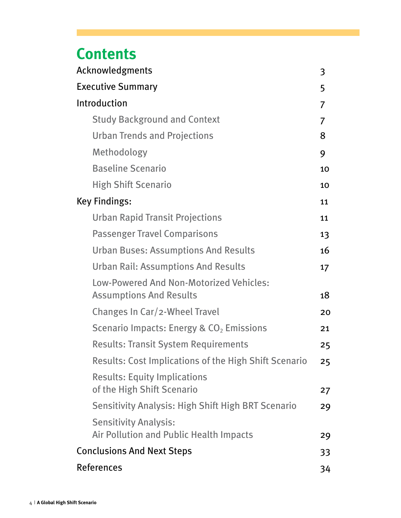# **Contents**

| Acknowledgments                                                                | 3  |  |  |  |
|--------------------------------------------------------------------------------|----|--|--|--|
| <b>Executive Summary</b>                                                       |    |  |  |  |
| Introduction                                                                   | 7  |  |  |  |
| <b>Study Background and Context</b>                                            | 7  |  |  |  |
| <b>Urban Trends and Projections</b>                                            | 8  |  |  |  |
| Methodology                                                                    | 9  |  |  |  |
| <b>Baseline Scenario</b>                                                       | 10 |  |  |  |
| <b>High Shift Scenario</b>                                                     | 10 |  |  |  |
| <b>Key Findings:</b>                                                           | 11 |  |  |  |
| <b>Urban Rapid Transit Projections</b>                                         | 11 |  |  |  |
| <b>Passenger Travel Comparisons</b>                                            | 13 |  |  |  |
| <b>Urban Buses: Assumptions And Results</b>                                    | 16 |  |  |  |
| <b>Urban Rail: Assumptions And Results</b>                                     | 17 |  |  |  |
| Low-Powered And Non-Motorized Vehicles:<br><b>Assumptions And Results</b>      | 18 |  |  |  |
| Changes In Car/2-Wheel Travel                                                  | 20 |  |  |  |
| Scenario Impacts: Energy & $CO2$ Emissions                                     | 21 |  |  |  |
| <b>Results: Transit System Requirements</b>                                    | 25 |  |  |  |
| Results: Cost Implications of the High Shift Scenario                          | 25 |  |  |  |
| <b>Results: Equity Implications</b><br>of the High Shift Scenario              | 27 |  |  |  |
| <b>Sensitivity Analysis: High Shift High BRT Scenario</b>                      | 29 |  |  |  |
| <b>Sensitivity Analysis:</b><br><b>Air Pollution and Public Health Impacts</b> | 29 |  |  |  |
| <b>Conclusions And Next Steps</b>                                              | 33 |  |  |  |
| <b>References</b>                                                              | 34 |  |  |  |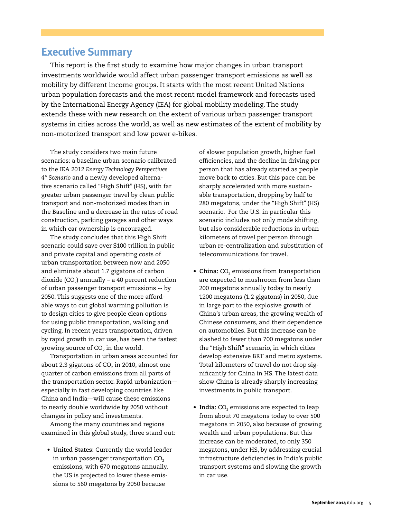# **Executive Summary**

This report is the first study to examine how major changes in urban transport investments worldwide would affect urban passenger transport emissions as well as mobility by different income groups. It starts with the most recent United Nations urban population forecasts and the most recent model framework and forecasts used by the International Energy Agency (IEA) for global mobility modeling. The study extends these with new research on the extent of various urban passenger transport systems in cities across the world, as well as new estimates of the extent of mobility by non-motorized transport and low power e-bikes.

The study considers two main future scenarios: a baseline urban scenario calibrated to the IEA *2012 Energy Technology Perspectives 4° Scenario* and a newly developed alternative scenario called "High Shift" (HS), with far greater urban passenger travel by clean public transport and non-motorized modes than in the Baseline and a decrease in the rates of road construction, parking garages and other ways in which car ownership is encouraged.

The study concludes that this High Shift scenario could save over \$100 trillion in public and private capital and operating costs of urban transportation between now and 2050 and eliminate about 1.7 gigatons of carbon dioxide (CO<sub>2</sub>) annually – a 40 percent reduction of urban passenger transport emissions -- by 2050. This suggests one of the more affordable ways to cut global warming pollution is to design cities to give people clean options for using public transportation, walking and cycling. In recent years transportation, driven by rapid growth in car use, has been the fastest growing source of  $CO<sub>2</sub>$  in the world.

Transportation in urban areas accounted for about 2.3 gigatons of  $CO<sub>2</sub>$  in 2010, almost one quarter of carbon emissions from all parts of the transportation sector. Rapid urbanization especially in fast developing countries like China and India—will cause these emissions to nearly double worldwide by 2050 without changes in policy and investments.

Among the many countries and regions examined in this global study, three stand out:

**• United States:** Currently the world leader in urban passenger transportation  $CO<sub>2</sub>$ emissions, with 670 megatons annually, the US is projected to lower these emissions to 560 megatons by 2050 because

of slower population growth, higher fuel efficiencies, and the decline in driving per person that has already started as people move back to cities. But this pace can be sharply accelerated with more sustainable transportation, dropping by half to 280 megatons, under the "High Shift" (HS) scenario. For the U.S. in particular this scenario includes not only mode shifting, but also considerable reductions in urban kilometers of travel per person through urban re-centralization and substitution of telecommunications for travel.

- China: CO<sub>2</sub> emissions from transportation are expected to mushroom from less than 200 megatons annually today to nearly 1200 megatons (1.2 gigatons) in 2050, due in large part to the explosive growth of China's urban areas, the growing wealth of Chinese consumers, and their dependence on automobiles. But this increase can be slashed to fewer than 700 megatons under the "High Shift" scenario, in which cities develop extensive BRT and metro systems. Total kilometers of travel do not drop significantly for China in HS. The latest data show China is already sharply increasing investments in public transport.
- India: CO<sub>2</sub> emissions are expected to leap from about 70 megatons today to over 500 megatons in 2050, also because of growing wealth and urban populations. But this increase can be moderated, to only 350 megatons, under HS, by addressing crucial infrastructure deficiencies in India's public transport systems and slowing the growth in car use.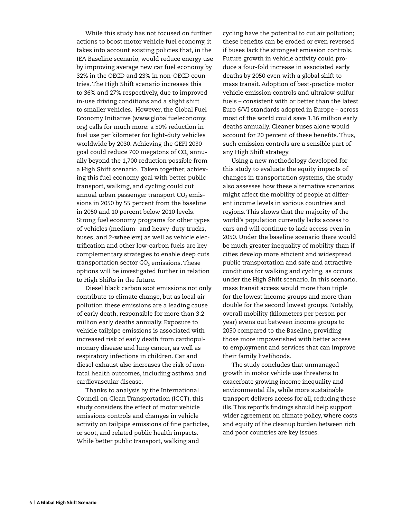While this study has not focused on further actions to boost motor vehicle fuel economy, it takes into account existing policies that, in the IEA Baseline scenario, would reduce energy use by improving average new car fuel economy by 32% in the OECD and 23% in non-OECD countries. The High Shift scenario increases this to 36% and 27% respectively, due to improved in-use driving conditions and a slight shift to smaller vehicles. However, the Global Fuel Economy Initiative (www.globalfueleconomy. org) calls for much more: a 50% reduction in fuel use per kilometer for light-duty vehicles worldwide by 2030. Achieving the GEFI 2030 goal could reduce 700 megatons of  $CO<sub>2</sub>$  annually beyond the 1,700 reduction possible from a High Shift scenario. Taken together, achieving this fuel economy goal with better public transport, walking, and cycling could cut annual urban passenger transport  $CO<sub>2</sub>$  emissions in 2050 by 55 percent from the baseline in 2050 and 10 percent below 2010 levels. Strong fuel economy programs for other types of vehicles (medium- and heavy-duty trucks, buses, and 2-wheelers) as well as vehicle electrification and other low-carbon fuels are key complementary strategies to enable deep cuts transportation sector  $CO<sub>2</sub>$  emissions. These options will be investigated further in relation to High Shifts in the future.

Diesel black carbon soot emissions not only contribute to climate change, but as local air pollution these emissions are a leading cause of early death, responsible for more than 3.2 million early deaths annually. Exposure to vehicle tailpipe emissions is associated with increased risk of early death from cardiopulmonary disease and lung cancer, as well as respiratory infections in children. Car and diesel exhaust also increases the risk of nonfatal health outcomes, including asthma and cardiovascular disease.

Thanks to analysis by the International Council on Clean Transportation (ICCT), this study considers the effect of motor vehicle emissions controls and changes in vehicle activity on tailpipe emissions of fine particles, or soot, and related public health impacts. While better public transport, walking and

cycling have the potential to cut air pollution; these benefits can be eroded or even reversed if buses lack the strongest emission controls. Future growth in vehicle activity could produce a four-fold increase in associated early deaths by 2050 even with a global shift to mass transit. Adoption of best-practice motor vehicle emission controls and ultralow-sulfur fuels – consistent with or better than the latest Euro 6/VI standards adopted in Europe – across most of the world could save 1.36 million early deaths annually. Cleaner buses alone would account for 20 percent of these benefits. Thus, such emission controls are a sensible part of any High Shift strategy.

Using a new methodology developed for this study to evaluate the equity impacts of changes in transportation systems, the study also assesses how these alternative scenarios might affect the mobility of people at different income levels in various countries and regions. This shows that the majority of the world's population currently lacks access to cars and will continue to lack access even in 2050. Under the baseline scenario there would be much greater inequality of mobility than if cities develop more efficient and widespread public transportation and safe and attractive conditions for walking and cycling, as occurs under the High Shift scenario. In this scenario, mass transit access would more than triple for the lowest income groups and more than double for the second lowest groups. Notably, overall mobility (kilometers per person per year) evens out between income groups to 2050 compared to the Baseline, providing those more impoverished with better access to employment and services that can improve their family livelihoods.

The study concludes that unmanaged growth in motor vehicle use threatens to exacerbate growing income inequality and environmental ills, while more sustainable transport delivers access for all, reducing these ills. This report's findings should help support wider agreement on climate policy, where costs and equity of the cleanup burden between rich and poor countries are key issues.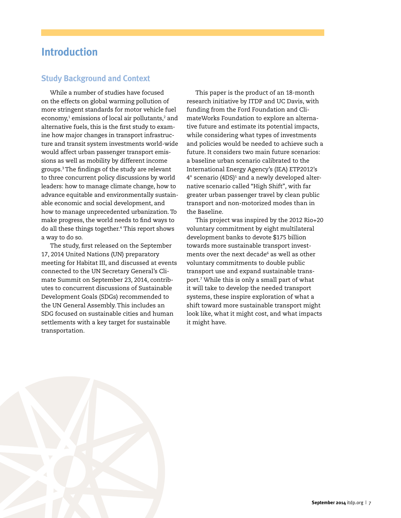# **Introduction**

# **Study Background and Context**

While a number of studies have focused on the effects on global warming pollution of more stringent standards for motor vehicle fuel economy,1 emissions of local air pollutants,<sup>2</sup> and alternative fuels, this is the first study to examine how major changes in transport infrastructure and transit system investments world-wide would affect urban passenger transport emissions as well as mobility by different income groups.3 The findings of the study are relevant to three concurrent policy discussions by world leaders: how to manage climate change, how to advance equitable and environmentally sustainable economic and social development, and how to manage unprecedented urbanization. To make progress, the world needs to find ways to do all these things together.<sup>4</sup> This report shows a way to do so.

The study, first released on the September 17, 2014 United Nations (UN) preparatory meeting for Habitat III, and discussed at events connected to the UN Secretary General's Climate Summit on September 23, 2014, contributes to concurrent discussions of Sustainable Development Goals (SDGs) recommended to the UN General Assembly. This includes an SDG focused on sustainable cities and human settlements with a key target for sustainable transportation.

This paper is the product of an 18-month research initiative by ITDP and UC Davis, with funding from the Ford Foundation and ClimateWorks Foundation to explore an alternative future and estimate its potential impacts, while considering what types of investments and policies would be needed to achieve such a future. It considers two main future scenarios: a baseline urban scenario calibrated to the International Energy Agency's (IEA) ETP2012's 4° scenario (4DS)<sup>5</sup> and a newly developed alternative scenario called "High Shift", with far greater urban passenger travel by clean public transport and non-motorized modes than in the Baseline.

This project was inspired by the 2012 Rio+20 voluntary commitment by eight multilateral development banks to devote \$175 billion towards more sustainable transport investments over the next decade<sup>6</sup> as well as other voluntary commitments to double public transport use and expand sustainable transport.7 While this is only a small part of what it will take to develop the needed transport systems, these inspire exploration of what a shift toward more sustainable transport might look like, what it might cost, and what impacts it might have.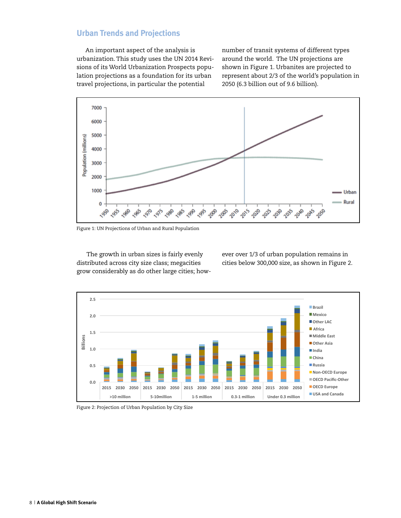# **Urban Trends and Projections**

An important aspect of the analysis is urbanization. This study uses the UN 2014 Revisions of its World Urbanization Prospects population projections as a foundation for its urban travel projections, in particular the potential

number of transit systems of different types around the world. The UN projections are shown in Figure 1. Urbanites are projected to represent about 2/3 of the world's population in 2050 (6.3 billion out of 9.6 billion).



Figure 1: UN Projections of Urban and Rural Population

 The growth in urban sizes is fairly evenly distributed across city size class; megacities grow considerably as do other large cities; however over 1/3 of urban population remains in cities below 300,000 size, as shown in Figure 2.



Figure 2: Projection of Urban Population by City Size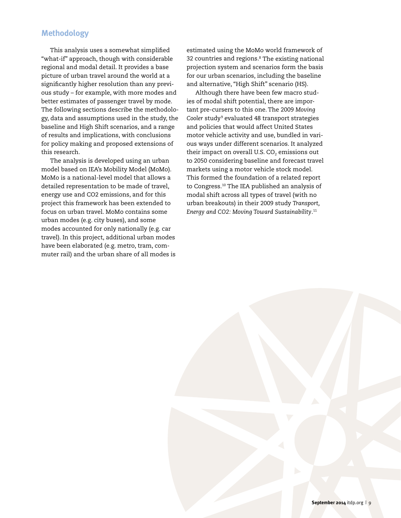# **Methodology**

This analysis uses a somewhat simplified "what-if" approach, though with considerable regional and modal detail. It provides a base picture of urban travel around the world at a significantly higher resolution than any previous study – for example, with more modes and better estimates of passenger travel by mode. The following sections describe the methodology, data and assumptions used in the study, the baseline and High Shift scenarios, and a range of results and implications, with conclusions for policy making and proposed extensions of this research.

The analysis is developed using an urban model based on IEA's Mobility Model (MoMo). MoMo is a national-level model that allows a detailed representation to be made of travel, energy use and CO2 emissions, and for this project this framework has been extended to focus on urban travel. MoMo contains some urban modes (e.g. city buses), and some modes accounted for only nationally (e.g. car travel). In this project, additional urban modes have been elaborated (e.g. metro, tram, commuter rail) and the urban share of all modes is

estimated using the MoMo world framework of 32 countries and regions.8 The existing national projection system and scenarios form the basis for our urban scenarios, including the baseline and alternative, "High Shift" scenario (HS).

Although there have been few macro studies of modal shift potential, there are important pre-cursers to this one. The 2009 *Moving*  Cooler study<sup>9</sup> evaluated 48 transport strategies and policies that would affect United States motor vehicle activity and use, bundled in various ways under different scenarios. It analyzed their impact on overall U.S.  $CO<sub>2</sub>$  emissions out to 2050 considering baseline and forecast travel markets using a motor vehicle stock model. This formed the foundation of a related report to Congress.10 The IEA published an analysis of modal shift across all types of travel (with no urban breakouts) in their 2009 study *Transport, Energy and CO2: Moving Toward Sustainability*. 11

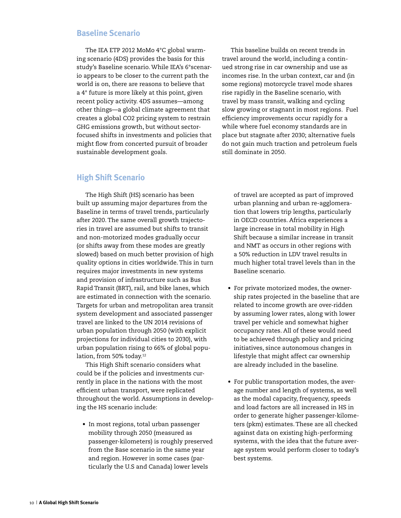#### **Baseline Scenario**

The IEA ETP 2012 MoMo 4°C global warming scenario (4DS) provides the basis for this study's Baseline scenario. While IEA's 6°scenario appears to be closer to the current path the world is on, there are reasons to believe that a 4° future is more likely at this point, given recent policy activity. 4DS assumes—among other things—a global climate agreement that creates a global CO2 pricing system to restrain GHG emissions growth, but without sectorfocused shifts in investments and policies that might flow from concerted pursuit of broader sustainable development goals.

This baseline builds on recent trends in travel around the world, including a continued strong rise in car ownership and use as incomes rise. In the urban context, car and (in some regions) motorcycle travel mode shares rise rapidly in the Baseline scenario, with travel by mass transit, walking and cycling slow growing or stagnant in most regions. Fuel efficiency improvements occur rapidly for a while where fuel economy standards are in place but stagnate after 2030; alternative fuels do not gain much traction and petroleum fuels still dominate in 2050.

### **High Shift Scenario**

The High Shift (HS) scenario has been built up assuming major departures from the Baseline in terms of travel trends, particularly after 2020. The same overall growth trajectories in travel are assumed but shifts to transit and non-motorized modes gradually occur (or shifts away from these modes are greatly slowed) based on much better provision of high quality options in cities worldwide. This in turn requires major investments in new systems and provision of infrastructure such as Bus Rapid Transit (BRT), rail, and bike lanes, which are estimated in connection with the scenario. Targets for urban and metropolitan area transit system development and associated passenger travel are linked to the UN 2014 revisions of urban population through 2050 (with explicit projections for individual cities to 2030), with urban population rising to 66% of global population, from 50% today.<sup>12</sup>

This High Shift scenario considers what could be if the policies and investments currently in place in the nations with the most efficient urban transport, were replicated throughout the world. Assumptions in developing the HS scenario include:

**•** In most regions, total urban passenger mobility through 2050 (measured as passenger-kilometers) is roughly preserved from the Base scenario in the same year and region. However in some cases (particularly the U.S and Canada) lower levels

of travel are accepted as part of improved urban planning and urban re-agglomeration that lowers trip lengths, particularly in OECD countries. Africa experiences a large increase in total mobility in High Shift because a similar increase in transit and NMT as occurs in other regions with a 50% reduction in LDV travel results in much higher total travel levels than in the Baseline scenario.

- For private motorized modes, the ownership rates projected in the baseline that are related to income growth are over-ridden by assuming lower rates, along with lower travel per vehicle and somewhat higher occupancy rates. All of these would need to be achieved through policy and pricing initiatives, since autonomous changes in lifestyle that might affect car ownership are already included in the baseline.
- For public transportation modes, the average number and length of systems, as well as the modal capacity, frequency, speeds and load factors are all increased in HS in order to generate higher passenger-kilometers (pkm) estimates. These are all checked against data on existing high-performing systems, with the idea that the future average system would perform closer to today's best systems.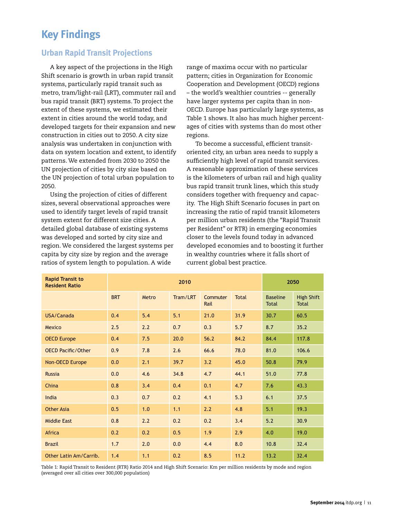# **Key Findings**

# **Urban Rapid Transit Projections**

A key aspect of the projections in the High Shift scenario is growth in urban rapid transit systems, particularly rapid transit such as metro, tram/light-rail (LRT), commuter rail and bus rapid transit (BRT) systems. To project the extent of these systems, we estimated their extent in cities around the world today, and developed targets for their expansion and new construction in cities out to 2050. A city size analysis was undertaken in conjunction with data on system location and extent, to identify patterns. We extended from 2030 to 2050 the UN projection of cities by city size based on the UN projection of total urban population to 2050.

Using the projection of cities of different sizes, several observational approaches were used to identify target levels of rapid transit system extent for different size cities. A detailed global database of existing systems was developed and sorted by city size and region. We considered the largest systems per capita by city size by region and the average ratios of system length to population. A wide

range of maxima occur with no particular pattern; cities in Organization for Economic Cooperation and Development (OECD) regions – the world's wealthier countries -- generally have larger systems per capita than in non-OECD. Europe has particularly large systems, as Table 1 shows. It also has much higher percentages of cities with systems than do most other regions.

To become a successful, efficient transitoriented city, an urban area needs to supply a sufficiently high level of rapid transit services. A reasonable approximation of these services is the kilometers of urban rail and high quality bus rapid transit trunk lines, which this study considers together with frequency and capacity. The High Shift Scenario focuses in part on increasing the ratio of rapid transit kilometers per million urban residents (the "Rapid Transit per Resident" or RTR) in emerging economies closer to the levels found today in advanced developed economies and to boosting it further in wealthy countries where it falls short of current global best practice.

| <b>Rapid Transit to</b><br><b>Resident Ratio</b> | 2010       |       |          |                  |              | 2050                            |                                   |
|--------------------------------------------------|------------|-------|----------|------------------|--------------|---------------------------------|-----------------------------------|
|                                                  | <b>BRT</b> | Metro | Tram/LRT | Commuter<br>Rail | <b>Total</b> | <b>Baseline</b><br><b>Total</b> | <b>High Shift</b><br><b>Total</b> |
| USA/Canada                                       | 0.4        | 5.4   | 5.1      | 21.0             | 31.9         | 30.7                            | 60.5                              |
| Mexico                                           | 2.5        | 2.2   | 0.7      | 0.3              | 5.7          | 8.7                             | 35.2                              |
| <b>OECD Europe</b>                               | 0.4        | 7.5   | 20.0     | 56.2             | 84.2         | 84.4                            | 117.8                             |
| <b>OECD Pacific/Other</b>                        | 0.9        | 7.8   | 2.6      | 66.6             | 78.0         | 81.0                            | 106.6                             |
| Non-OECD Europe                                  | 0.0        | 2.1   | 39.7     | 3.2              | 45.0         | 50.8                            | 79.9                              |
| <b>Russia</b>                                    | 0.0        | 4.6   | 34.8     | 4.7              | 44.1         | 51.0                            | 77.8                              |
| China                                            | 0.8        | 3.4   | 0.4      | 0.1              | 4.7          | 7.6                             | 43.3                              |
| India                                            | 0.3        | 0.7   | 0.2      | 4.1              | 5.3          | 6.1                             | 37.5                              |
| <b>Other Asia</b>                                | 0.5        | 1.0   | 1.1      | 2.2              | 4.8          | 5.1                             | 19.3                              |
| <b>Middle East</b>                               | 0.8        | 2.2   | 0.2      | 0.2              | 3.4          | $5.2$                           | 30.9                              |
| Africa                                           | 0.2        | 0.2   | 0.5      | 1.9              | 2.9          | 4.0                             | 19.0                              |
| <b>Brazil</b>                                    | 1.7        | 2.0   | 0.0      | 4.4              | 8.0          | 10.8                            | 32.4                              |
| Other Latin Am/Carrib.                           | 1.4        | 1.1   | 0.2      | 8.5              | 11.2         | 13.2                            | 32.4                              |

Table 1: Rapid Transit to Resident (RTR) Ratio 2014 and High Shift Scenario: Km per million residents by mode and region (averaged over all cities over 300,000 population)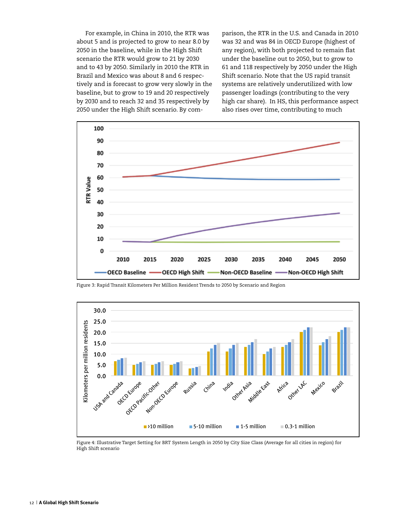For example, in China in 2010, the RTR was about 5 and is projected to grow to near 8.0 by 2050 in the baseline, while in the High Shift scenario the RTR would grow to 21 by 2030 and to 43 by 2050. Similarly in 2010 the RTR in Brazil and Mexico was about 8 and 6 respectively and is forecast to grow very slowly in the baseline, but to grow to 19 and 20 respectively by 2030 and to reach 32 and 35 respectively by 2050 under the High Shift scenario. By comparison, the RTR in the U.S. and Canada in 2010 was 32 and was 84 in OECD Europe (highest of any region), with both projected to remain flat under the baseline out to 2050, but to grow to 61 and 118 respectively by 2050 under the High Shift scenario. Note that the US rapid transit systems are relatively underutilized with low passenger loadings (contributing to the very high car share). In HS, this performance aspect also rises over time, contributing to much



Figure 3: Rapid Transit Kilometers Per Million Resident Trends to 2050 by Scenario and Region



Figure 4: Illustrative Target Setting for BRT System Length in 2050 by City Size Class (Average for all cities in region) for High Shift scenario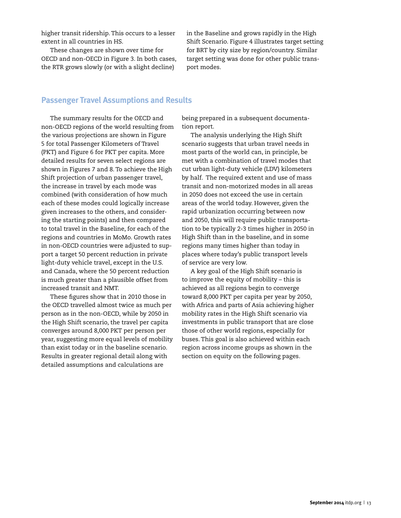higher transit ridership. This occurs to a lesser extent in all countries in HS.

These changes are shown over time for OECD and non-OECD in Figure 3. In both cases, the RTR grows slowly (or with a slight decline)

in the Baseline and grows rapidly in the High Shift Scenario. Figure 4 illustrates target setting for BRT by city size by region/country. Similar target setting was done for other public transport modes.

#### **Passenger Travel Assumptions and Results**

The summary results for the OECD and non-OECD regions of the world resulting from the various projections are shown in Figure 5 for total Passenger Kilometers of Travel (PKT) and Figure 6 for PKT per capita. More detailed results for seven select regions are shown in Figures 7 and 8. To achieve the High Shift projection of urban passenger travel, the increase in travel by each mode was combined (with consideration of how much each of these modes could logically increase given increases to the others, and considering the starting points) and then compared to total travel in the Baseline, for each of the regions and countries in MoMo. Growth rates in non-OECD countries were adjusted to support a target 50 percent reduction in private light-duty vehicle travel, except in the U.S. and Canada, where the 50 percent reduction is much greater than a plausible offset from increased transit and NMT.

These figures show that in 2010 those in the OECD travelled almost twice as much per person as in the non-OECD, while by 2050 in the High Shift scenario, the travel per capita converges around 8,000 PKT per person per year, suggesting more equal levels of mobility than exist today or in the baseline scenario. Results in greater regional detail along with detailed assumptions and calculations are

being prepared in a subsequent documentation report.

The analysis underlying the High Shift scenario suggests that urban travel needs in most parts of the world can, in principle, be met with a combination of travel modes that cut urban light-duty vehicle (LDV) kilometers by half. The required extent and use of mass transit and non-motorized modes in all areas in 2050 does not exceed the use in certain areas of the world today. However, given the rapid urbanization occurring between now and 2050, this will require public transportation to be typically 2-3 times higher in 2050 in High Shift than in the baseline, and in some regions many times higher than today in places where today's public transport levels of service are very low.

A key goal of the High Shift scenario is to improve the equity of mobility – this is achieved as all regions begin to converge toward 8,000 PKT per capita per year by 2050, with Africa and parts of Asia achieving higher mobility rates in the High Shift scenario via investments in public transport that are close those of other world regions, especially for buses. This goal is also achieved within each region across income groups as shown in the section on equity on the following pages.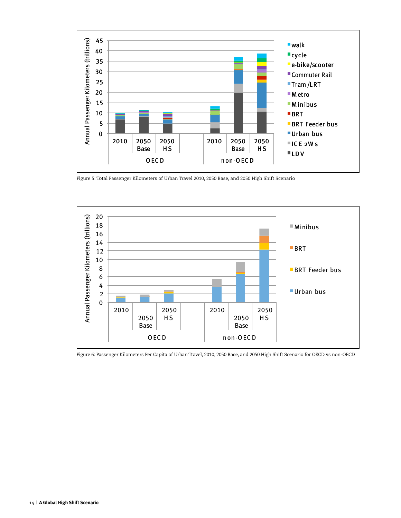

Figure 5: Total Passenger Kilometers of Urban Travel 2010, 2050 Base, and 2050 High Shift Scenario



Figure 6: Passenger Kilometers Per Capita of Urban Travel, 2010, 2050 Base, and 2050 High Shift Scenario for OECD vs non-OECD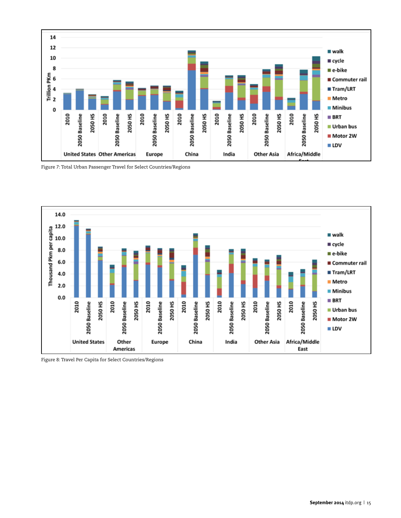

Figure 7: Total Urban Passenger Travel for Select Countries/Regions



Figure 8: Travel Per Capita for Select Countries/Regions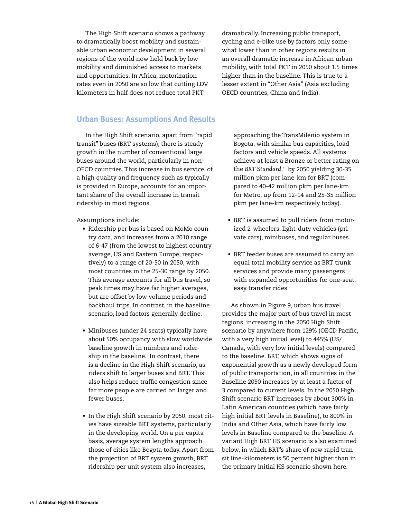The High Shift scenario shows a pathway to dramatically boost mobility and sustainable urban economic development in several regions of the world now held back by low mobility and diminished access to markets and opportunities. In Africa, motorization rates even in 2050 are so low that cutting LDV kilometers in half does not reduce total PKT

#### **Urban Buses: Assumptions And Results**

In the High Shift scenario, apart from "rapid transit" buses (BRT systems), there is steady growth in the number of conventional large buses around the world, particularly in non-OECD countries. This increase in bus service, of a high quality and frequency such as typically is provided in Europe, accounts for an important share of the overall increase in transit ridership in most regions.

Assumptions include:

- • Ridership per bus is based on MoMo country data, and increases from a 2010 range of 6-47 (from the lowest to highest country average, US and Eastern Europe, respectively) to a range of 20-50 in 2050, with most countries in the 25-30 range by 2050. This average accounts for all bus travel, so peak times may have far higher averages, but are offset by low volume periods and backhaul trips. In contrast, in the baseline scenario, load factors generally decline.
- • Minibuses (under 24 seats) typically have about 50% occupancy with slow worldwide baseline growth in numbers and ridership in the baseline. In contrast, there is a decline in the High Shift scenario, as riders shift to larger buses and BRT. This also helps reduce traffic congestion since far more people are carried on larger and fewer buses.
- In the High Shift scenario by 2050, most cities have sizeable BRT systems, particularly in the developing world. On a per capita basis, average system lengths approach those of cities like Bogota today. Apart from the projection of BRT system growth, BRT ridership per unit system also increases,

dramatically. Increasing public transport, cycling and e-bike use by factors only somewhat lower than in other regions results in an overall dramatic increase in African urban mobility, with total PKT in 2050 about 1.5 times higher than in the baseline. This is true to a lesser extent in "Other Asia" (Asia excluding OECD countries, China and India).

approaching the TransMilenio system in Bogota, with similar bus capacities, load factors and vehicle speeds. All systems achieve at least a Bronze or better rating on the *BRT Standard*, 13 by 2050 yielding 30-35 million pkm per lane-km for BRT (compared to 40-42 million pkm per lane-km for Metro, up from 12-14 and 25-35 million pkm per lane-km respectively today).

- • BRT is assumed to pull riders from motorized 2-wheelers, light-duty vehicles (private cars), minibuses, and regular buses.
- • BRT feeder buses are assumed to carry an equal total mobility service as BRT trunk services and provide many passengers with expanded opportunities for one-seat, easy transfer rides

As shown in Figure 9, urban bus travel provides the major part of bus travel in most regions, increasing in the 2050 High Shift scenario by anywhere from 129% (OECD Pacific, with a very high initial level) to 445% (US/ Canada, with very low initial levels) compared to the baseline. BRT, which shows signs of exponential growth as a newly developed form of public transportation, in all countries in the Baseline 2050 increases by at least a factor of 3 compared to current levels. In the 2050 High Shift scenario BRT increases by about 300% in Latin American countries (which have fairly high initial BRT levels in Baseline), to 800% in India and Other Asia, which have fairly low levels in Baseline compared to the baseline. A variant High BRT HS scenario is also examined below, in which BRT's share of new rapid transit line-kilometers is 50 percent higher than in the primary initial HS scenario shown here.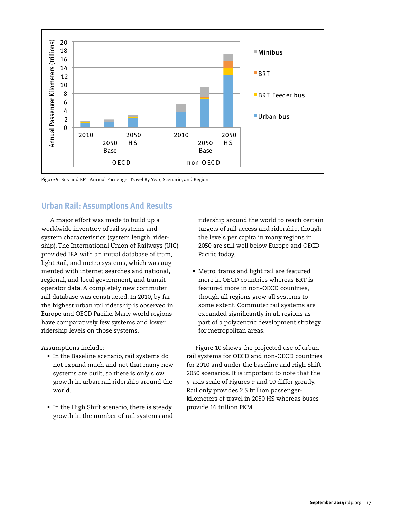

Figure 9: Bus and BRT Annual Passenger Travel By Year, Scenario, and Region

# **Urban Rail: Assumptions And Results**

A major effort was made to build up a worldwide inventory of rail systems and system characteristics (system length, ridership). The International Union of Railways (UIC) provided IEA with an initial database of tram, light Rail, and metro systems, which was augmented with internet searches and national, regional, and local government, and transit operator data. A completely new commuter rail database was constructed. In 2010, by far the highest urban rail ridership is observed in Europe and OECD Pacific. Many world regions have comparatively few systems and lower ridership levels on those systems.

Assumptions include:

- • In the Baseline scenario, rail systems do not expand much and not that many new systems are built, so there is only slow growth in urban rail ridership around the world.
- In the High Shift scenario, there is steady growth in the number of rail systems and

ridership around the world to reach certain targets of rail access and ridership, though the levels per capita in many regions in 2050 are still well below Europe and OECD Pacific today.

• Metro, trams and light rail are featured more in OECD countries whereas BRT is featured more in non-OECD countries, though all regions grow all systems to some extent. Commuter rail systems are expanded significantly in all regions as part of a polycentric development strategy for metropolitan areas.

Figure 10 shows the projected use of urban rail systems for OECD and non-OECD countries for 2010 and under the baseline and High Shift 2050 scenarios. It is important to note that the y-axis scale of Figures 9 and 10 differ greatly. Rail only provides 2.5 trillion passengerkilometers of travel in 2050 HS whereas buses provide 16 trillion PKM.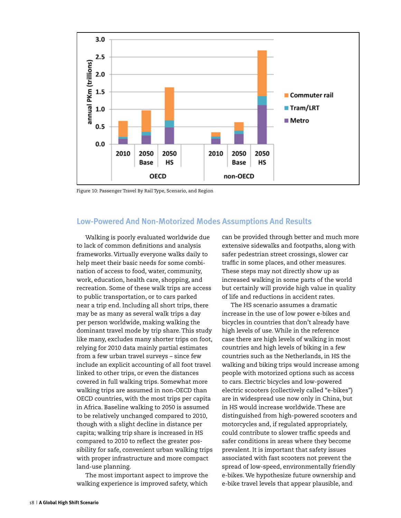

Figure 10: Passenger Travel By Rail Type, Scenario, and Region

#### **Low-Powered And Non-Motorized Modes Assumptions And Results**

Walking is poorly evaluated worldwide due to lack of common definitions and analysis frameworks. Virtually everyone walks daily to help meet their basic needs for some combination of access to food, water, community, work, education, health care, shopping, and recreation. Some of these walk trips are access to public transportation, or to cars parked near a trip end. Including all short trips, there may be as many as several walk trips a day per person worldwide, making walking the dominant travel mode by trip share. This study like many, excludes many shorter trips on foot, relying for 2010 data mainly partial estimates from a few urban travel surveys – since few include an explicit accounting of all foot travel linked to other trips, or even the distances covered in full walking trips. Somewhat more walking trips are assumed in non-OECD than OECD countries, with the most trips per capita in Africa. Baseline walking to 2050 is assumed to be relatively unchanged compared to 2010, though with a slight decline in distance per capita; walking trip share is increased in HS compared to 2010 to reflect the greater possibility for safe, convenient urban walking trips with proper infrastructure and more compact land-use planning.

The most important aspect to improve the walking experience is improved safety, which

can be provided through better and much more extensive sidewalks and footpaths, along with safer pedestrian street crossings, slower car traffic in some places, and other measures. These steps may not directly show up as increased walking in some parts of the world but certainly will provide high value in quality of life and reductions in accident rates.

The HS scenario assumes a dramatic increase in the use of low power e-bikes and bicycles in countries that don't already have high levels of use. While in the reference case there are high levels of walking in most countries and high levels of biking in a few countries such as the Netherlands, in HS the walking and biking trips would increase among people with motorized options such as access to cars. Electric bicycles and low-powered electric scooters (collectively called "e-bikes") are in widespread use now only in China, but in HS would increase worldwide. These are distinguished from high-powered scooters and motorcycles and, if regulated appropriately, could contribute to slower traffic speeds and safer conditions in areas where they become prevalent. It is important that safety issues associated with fast scooters not prevent the spread of low-speed, environmentally friendly e-bikes. We hypothesize future ownership and e-bike travel levels that appear plausible, and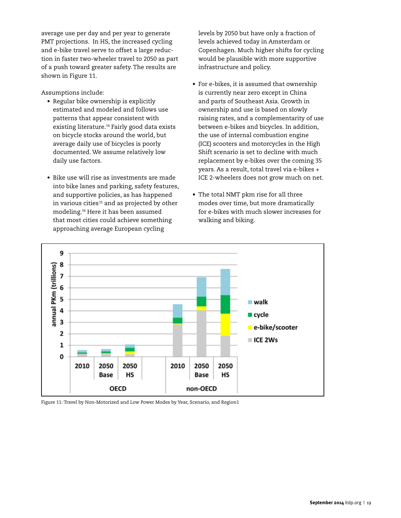average use per day and per year to generate PMT projections. In HS, the increased cycling and e-bike travel serve to offset a large reduction in faster two-wheeler travel to 2050 as part of a push toward greater safety. The results are shown in Figure 11.

Assumptions include:

- • Regular bike ownership is explicitly estimated and modeled and follows use patterns that appear consistent with existing literature.<sup>14</sup> Fairly good data exists on bicycle stocks around the world, but average daily use of bicycles is poorly documented. We assume relatively low daily use factors.
- • Bike use will rise as investments are made into bike lanes and parking, safety features, and supportive policies, as has happened in various cities<sup>15</sup> and as projected by other modeling.16 Here it has been assumed that most cities could achieve something approaching average European cycling

levels by 2050 but have only a fraction of levels achieved today in Amsterdam or Copenhagen. Much higher shifts for cycling would be plausible with more supportive infrastructure and policy.

- For e-bikes, it is assumed that ownership is currently near zero except in China and parts of Southeast Asia. Growth in ownership and use is based on slowly raising rates, and a complementarity of use between e-bikes and bicycles. In addition, the use of internal combustion engine (ICE) scooters and motorcycles in the High Shift scenario is set to decline with much replacement by e-bikes over the coming 35 years. As a result, total travel via e-bikes + ICE 2-wheelers does not grow much on net.
- The total NMT pkm rise for all three modes over time, but more dramatically for e-bikes with much slower increases for walking and biking.



Figure 11: Travel by Non-Motorized and Low Power Modes by Year, Scenario, and Region1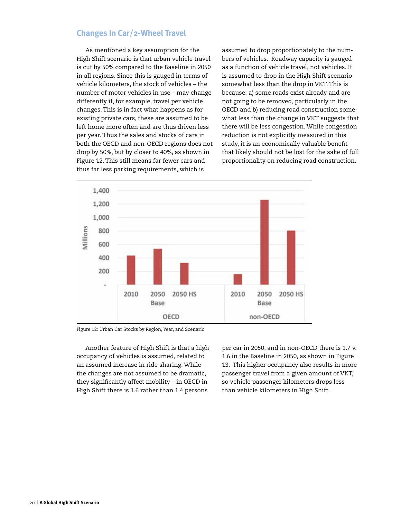#### **Changes In Car/2-Wheel Travel**

As mentioned a key assumption for the High Shift scenario is that urban vehicle travel is cut by 50% compared to the Baseline in 2050 in all regions. Since this is gauged in terms of vehicle kilometers, the stock of vehicles – the number of motor vehicles in use – may change differently if, for example, travel per vehicle changes. This is in fact what happens as for existing private cars, these are assumed to be left home more often and are thus driven less per year. Thus the sales and stocks of cars in both the OECD and non-OECD regions does not drop by 50%, but by closer to 40%, as shown in Figure 12. This still means far fewer cars and thus far less parking requirements, which is

assumed to drop proportionately to the numbers of vehicles. Roadway capacity is gauged as a function of vehicle travel, not vehicles. It is assumed to drop in the High Shift scenario somewhat less than the drop in VKT. This is because: a) some roads exist already and are not going to be removed, particularly in the OECD and b) reducing road construction somewhat less than the change in VKT suggests that there will be less congestion. While congestion reduction is not explicitly measured in this study, it is an economically valuable benefit that likely should not be lost for the sake of full proportionality on reducing road construction.



Figure 12: Urban Car Stocks by Region, Year, and Scenario

Another feature of High Shift is that a high occupancy of vehicles is assumed, related to an assumed increase in ride sharing. While the changes are not assumed to be dramatic, they significantly affect mobility – in OECD in High Shift there is 1.6 rather than 1.4 persons

per car in 2050, and in non-OECD there is 1.7 v. 1.6 in the Baseline in 2050, as shown in Figure 13. This higher occupancy also results in more passenger travel from a given amount of VKT, so vehicle passenger kilometers drops less than vehicle kilometers in High Shift.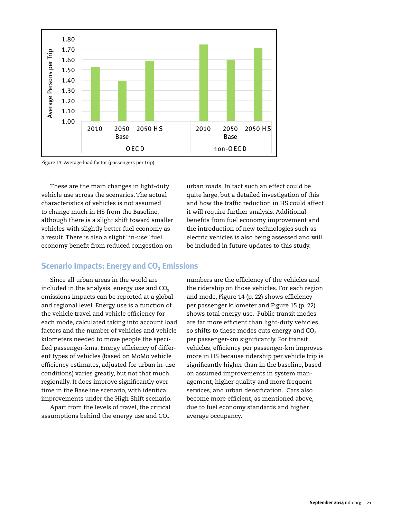

Figure 13: Average load factor (passengers per trip)

These are the main changes in light-duty vehicle use across the scenarios. The actual characteristics of vehicles is not assumed to change much in HS from the Baseline, although there is a slight shift toward smaller vehicles with slightly better fuel economy as a result. There is also a slight "in-use" fuel economy benefit from reduced congestion on

urban roads. In fact such an effect could be quite large, but a detailed investigation of this and how the traffic reduction in HS could affect it will require further analysis. Additional benefits from fuel economy improvement and the introduction of new technologies such as electric vehicles is also being assessed and will be included in future updates to this study.

#### **Scenario Impacts: Energy and CO<sub>2</sub> Emissions**

Since all urban areas in the world are included in the analysis, energy use and  $CO<sub>2</sub>$ emissions impacts can be reported at a global and regional level. Energy use is a function of the vehicle travel and vehicle efficiency for each mode, calculated taking into account load factors and the number of vehicles and vehicle kilometers needed to move people the specified passenger-kms. Energy efficiency of different types of vehicles (based on MoMo vehicle efficiency estimates, adjusted for urban in-use conditions) varies greatly, but not that much regionally. It does improve significantly over time in the Baseline scenario, with identical improvements under the High Shift scenario.

Apart from the levels of travel, the critical assumptions behind the energy use and  $CO<sub>2</sub>$ 

numbers are the efficiency of the vehicles and the ridership on those vehicles. For each region and mode, Figure 14 (p. 22) shows efficiency per passenger kilometer and Figure 15 (p. 22) shows total energy use. Public transit modes are far more efficient than light-duty vehicles, so shifts to these modes cuts energy and  $CO<sub>2</sub>$ per passenger-km significantly. For transit vehicles, efficiency per passenger-km improves more in HS because ridership per vehicle trip is significantly higher than in the baseline, based on assumed improvements in system management, higher quality and more frequent services, and urban densification. Cars also become more efficient, as mentioned above, due to fuel economy standards and higher average occupancy.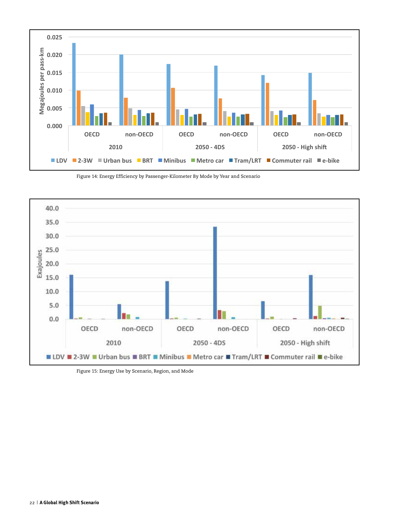

Figure 14: Energy Efficiency by Passenger-Kilometer By Mode by Year and Scenario



Figure 15: Energy Use by Scenario, Region, and Mode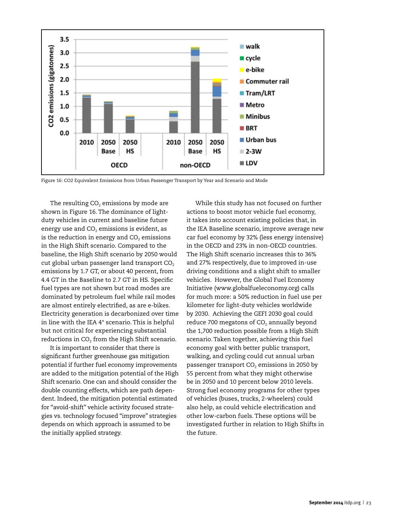

Figure 16: CO2 Equivalent Emissions from Urban Passenger Transport by Year and Scenario and Mode

The resulting  $CO<sub>2</sub>$  emissions by mode are shown in Figure 16. The dominance of lightduty vehicles in current and baseline future energy use and  $CO<sub>2</sub>$  emissions is evident, as is the reduction in energy and  $CO<sub>2</sub>$  emissions in the High Shift scenario. Compared to the baseline, the High Shift scenario by 2050 would cut global urban passenger land transport  $CO<sub>2</sub>$ emissions by 1.7 GT, or about 40 percent, from 4.4 GT in the Baseline to 2.7 GT in HS. Specific fuel types are not shown but road modes are dominated by petroleum fuel while rail modes are almost entirely electrified, as are e-bikes. Electricity generation is decarbonized over time in line with the IEA 4° scenario. This is helpful but not critical for experiencing substantial reductions in  $CO<sub>2</sub>$  from the High Shift scenario.

It is important to consider that there is significant further greenhouse gas mitigation potential if further fuel economy improvements are added to the mitigation potential of the High Shift scenario. One can and should consider the double counting effects, which are path dependent. Indeed, the mitigation potential estimated for "avoid-shift" vehicle activity focused strategies vs. technology focused "improve" strategies depends on which approach is assumed to be the initially applied strategy.

While this study has not focused on further actions to boost motor vehicle fuel economy, it takes into account existing policies that, in the IEA Baseline scenario, improve average new car fuel economy by 32% (less energy intensive) in the OECD and 23% in non-OECD countries. The High Shift scenario increases this to 36% and 27% respectively, due to improved in-use driving conditions and a slight shift to smaller vehicles. However, the Global Fuel Economy Initiative (www.globalfueleconomy.org) calls for much more: a 50% reduction in fuel use per kilometer for light-duty vehicles worldwide by 2030. Achieving the GEFI 2030 goal could reduce 700 megatons of  $CO<sub>2</sub>$  annually beyond the 1,700 reduction possible from a High Shift scenario. Taken together, achieving this fuel economy goal with better public transport, walking, and cycling could cut annual urban passenger transport  $CO<sub>2</sub>$  emissions in 2050 by 55 percent from what they might otherwise be in 2050 and 10 percent below 2010 levels. Strong fuel economy programs for other types of vehicles (buses, trucks, 2-wheelers) could also help, as could vehicle electrification and other low-carbon fuels. These options will be investigated further in relation to High Shifts in the future.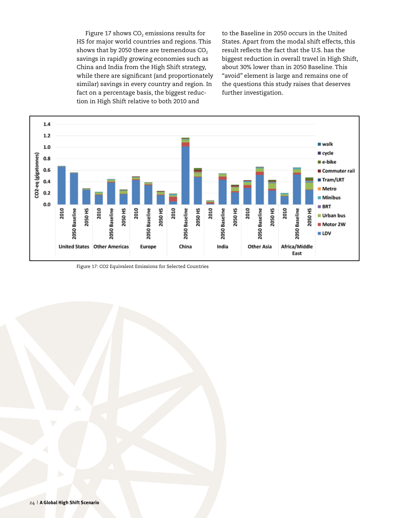Figure 17 shows  $CO<sub>2</sub>$  emissions results for HS for major world countries and regions. This shows that by 2050 there are tremendous  $CO<sub>2</sub>$ savings in rapidly growing economies such as China and India from the High Shift strategy, while there are significant (and proportionately similar) savings in every country and region. In fact on a percentage basis, the biggest reduction in High Shift relative to both 2010 and

to the Baseline in 2050 occurs in the United States. Apart from the modal shift effects, this result reflects the fact that the U.S. has the biggest reduction in overall travel in High Shift, about 30% lower than in 2050 Baseline. This "avoid" element is large and remains one of the questions this study raises that deserves further investigation.



Figure 17: CO2 Equivalent Emissions for Selected Countries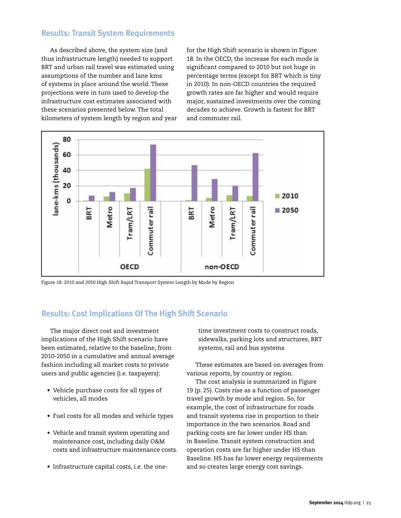# **Results: Transit System Requirements**

As described above, the system size (and thus infrastructure length) needed to support BRT and urban rail travel was estimated using assumptions of the number and lane kms of systems in place around the world. These projections were in turn used to develop the infrastructure cost estimates associated with these scenarios presented below. The total kilometers of system length by region and year

for the High Shift scenario is shown in Figure 18. In the OECD, the increase for each mode is significant compared to 2010 but not huge in percentage terms (except for BRT which is tiny in 2010). In non-OECD countries the required growth rates are far higher and would require major, sustained investments over the coming decades to achieve. Growth is fastest for BRT and commuter rail.



Figure 18: 2010 and 2050 High Shift Rapid Transport System Length by Mode by Region

# **Results: Cost Implications Of The High Shift Scenario**

The major direct cost and investment implications of the High Shift scenario have been estimated, relative to the baseline, from 2010-2050 in a cumulative and annual average fashion including all market costs to private users and public agencies (i.e. taxpayers):

- Vehicle purchase costs for all types of vehicles, all modes
- • Fuel costs for all modes and vehicle types
- • Vehicle and transit system operating and maintenance cost, including daily O&M costs and infrastructure maintenance costs.
- Infrastructure capital costs, i.e. the one-

time investment costs to construct roads, sidewalks, parking lots and structures, BRT systems, rail and bus systems

These estimates are based on averages from various reports, by country or region.

The cost analysis is summarized in Figure 19 (p. 25). Costs rise as a function of passenger travel growth by mode and region. So, for example, the cost of infrastructure for roads and transit systems rise in proportion to their importance in the two scenarios. Road and parking costs are far lower under HS than in Baseline. Transit system construction and operation costs are far higher under HS than Baseline. HS has far lower energy requirements and so creates large energy cost savings.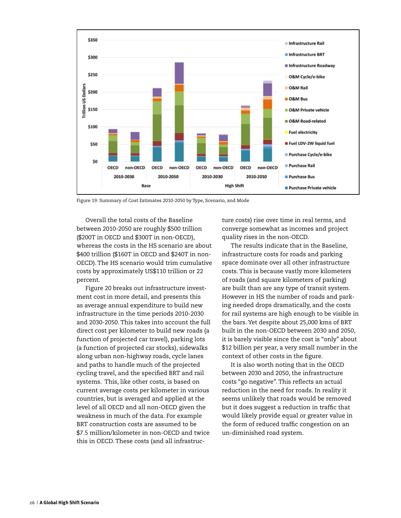

Figure 19: Summary of Cost Estimates 2010-2050 by Type, Scenario, and Mode

Overall the total costs of the Baseline between 2010-2050 are roughly \$500 trillion (\$200T in OECD and \$300T in non-OECD), whereas the costs in the HS scenario are about \$400 trillion (\$160T in OECD and \$240T in non-OECD). The HS scenario would trim cumulative costs by approximately US\$110 trillion or 22 percent.

Figure 20 breaks out infrastructure investment cost in more detail, and presents this as average annual expenditure to build new infrastructure in the time periods 2010-2030 and 2030-2050. This takes into account the full direct cost per kilometer to build new roads (a function of projected car travel), parking lots (a function of projected car stocks), sidewalks along urban non-highway roads, cycle lanes and paths to handle much of the projected cycling travel, and the specified BRT and rail systems. This, like other costs, is based on current average costs per kilometer in various countries, but is averaged and applied at the level of all OECD and all non-OECD given the weakness in much of the data. For example BRT construction costs are assumed to be \$7.5 million/kilometer in non-OECD and twice this in OECD. These costs (and all infrastructure costs) rise over time in real terms, and converge somewhat as incomes and project quality rises in the non-OECD.

The results indicate that in the Baseline, infrastructure costs for roads and parking space dominate over all other infrastructure costs. This is because vastly more kilometers of roads (and square kilometers of parking) are built than are any type of transit system. However in HS the number of roads and parking needed drops dramatically, and the costs for rail systems are high enough to be visible in the bars. Yet despite about 25,000 kms of BRT built in the non-OECD between 2030 and 2050, it is barely visible since the cost is "only" about \$12 billion per year, a very small number in the context of other costs in the figure.

It is also worth noting that in the OECD between 2030 and 2050, the infrastructure costs "go negative". This reflects an actual reduction in the need for roads. In reality it seems unlikely that roads would be removed but it does suggest a reduction in traffic that would likely provide equal or greater value in the form of reduced traffic congestion on an un-diminished road system.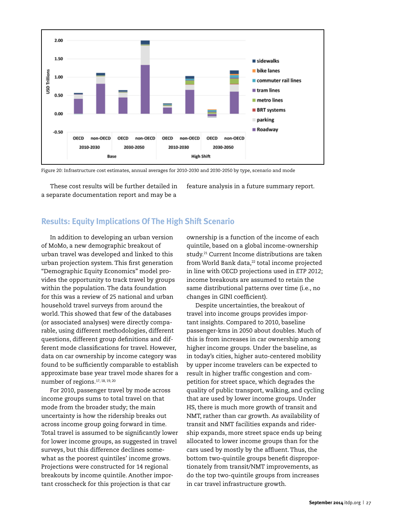

Figure 20: Infrastructure cost estimates, annual averages for 2010-2030 and 2030-2050 by type, scenario and mode

These cost results will be further detailed in a separate documentation report and may be a

feature analysis in a future summary report.

#### **Results: Equity Implications Of The High Shift Scenario**

In addition to developing an urban version of MoMo, a new demographic breakout of urban travel was developed and linked to this urban projection system. This first generation "Demographic Equity Economics" model provides the opportunity to track travel by groups within the population. The data foundation for this was a review of 25 national and urban household travel surveys from around the world. This showed that few of the databases (or associated analyses) were directly comparable, using different methodologies, different questions, different group definitions and different mode classifications for travel. However, data on car ownership by income category was found to be sufficiently comparable to establish approximate base year travel mode shares for a number of regions.17, 18, 19, 20

For 2010, passenger travel by mode across income groups sums to total travel on that mode from the broader study; the main uncertainty is how the ridership breaks out across income group going forward in time. Total travel is assumed to be significantly lower for lower income groups, as suggested in travel surveys, but this difference declines somewhat as the poorest quintiles' income grows. Projections were constructed for 14 regional breakouts by income quintile. Another important crosscheck for this projection is that car

ownership is a function of the income of each quintile, based on a global income-ownership study.<sup>21</sup> Current Income distributions are taken from World Bank data,<sup>22</sup> total income projected in line with OECD projections used in *ETP 2012*; income breakouts are assumed to retain the same distributional patterns over time (i.e., no changes in GINI coefficient).

Despite uncertainties, the breakout of travel into income groups provides important insights. Compared to 2010, baseline passenger-kms in 2050 about doubles. Much of this is from increases in car ownership among higher income groups. Under the baseline, as in today's cities, higher auto-centered mobility by upper income travelers can be expected to result in higher traffic congestion and competition for street space, which degrades the quality of public transport, walking, and cycling that are used by lower income groups. Under HS, there is much more growth of transit and NMT, rather than car growth. As availability of transit and NMT facilities expands and ridership expands, more street space ends up being allocated to lower income groups than for the cars used by mostly by the affluent. Thus, the bottom two-quintile groups benefit disproportionately from transit/NMT improvements, as do the top two-quintile groups from increases in car travel infrastructure growth.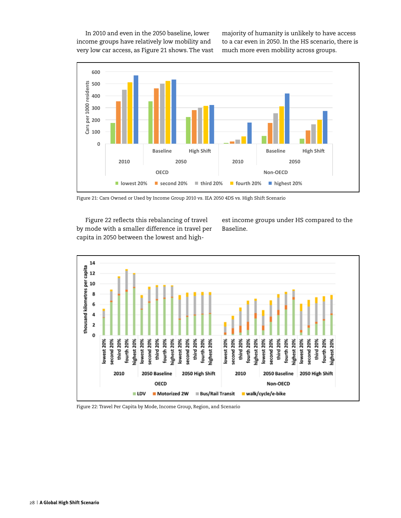In 2010 and even in the 2050 baseline, lower income groups have relatively low mobility and very low car access, as Figure 21 shows. The vast majority of humanity is unlikely to have access to a car even in 2050. In the HS scenario, there is much more even mobility across groups.



Figure 21: Cars Owned or Used by Income Group 2010 vs. IEA 2050 4DS vs. High Shift Scenario

Figure 22 reflects this rebalancing of travel by mode with a smaller difference in travel per capita in 2050 between the lowest and highest income groups under HS compared to the Baseline.



Figure 22: Travel Per Capita by Mode, Income Group, Region, and Scenario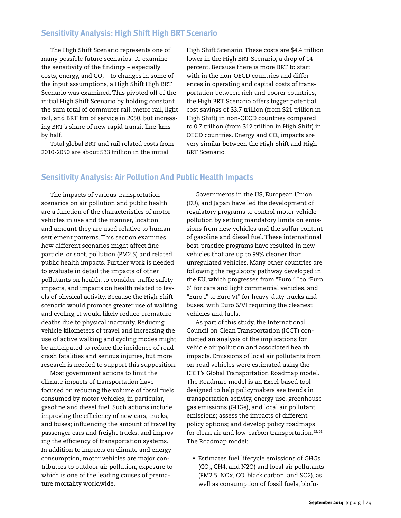## **Sensitivity Analysis: High Shift High BRT Scenario**

The High Shift Scenario represents one of many possible future scenarios. To examine the sensitivity of the findings – especially costs, energy, and  $CO<sub>2</sub>$  – to changes in some of the input assumptions, a High Shift High BRT Scenario was examined. This pivoted off of the initial High Shift Scenario by holding constant the sum total of commuter rail, metro rail, light rail, and BRT km of service in 2050, but increasing BRT's share of new rapid transit line-kms by half.

Total global BRT and rail related costs from 2010-2050 are about \$33 trillion in the initial

High Shift Scenario. These costs are \$4.4 trillion lower in the High BRT Scenario, a drop of 14 percent. Because there is more BRT to start with in the non-OECD countries and differences in operating and capital costs of transportation between rich and poorer countries, the High BRT Scenario offers bigger potential cost savings of \$3.7 trillion (from \$21 trillion in High Shift) in non-OECD countries compared to 0.7 trillion (from \$12 trillion in High Shift) in OECD countries. Energy and  $CO<sub>2</sub>$  impacts are very similar between the High Shift and High BRT Scenario.

## **Sensitivity Analysis: Air Pollution And Public Health Impacts**

The impacts of various transportation scenarios on air pollution and public health are a function of the characteristics of motor vehicles in use and the manner, location, and amount they are used relative to human settlement patterns. This section examines how different scenarios might affect fine particle, or soot, pollution (PM2.5) and related public health impacts. Further work is needed to evaluate in detail the impacts of other pollutants on health, to consider traffic safety impacts, and impacts on health related to levels of physical activity. Because the High Shift scenario would promote greater use of walking and cycling, it would likely reduce premature deaths due to physical inactivity. Reducing vehicle kilometers of travel and increasing the use of active walking and cycling modes might be anticipated to reduce the incidence of road crash fatalities and serious injuries, but more research is needed to support this supposition.

Most government actions to limit the climate impacts of transportation have focused on reducing the volume of fossil fuels consumed by motor vehicles, in particular, gasoline and diesel fuel. Such actions include improving the efficiency of new cars, trucks, and buses; influencing the amount of travel by passenger cars and freight trucks, and improving the efficiency of transportation systems. In addition to impacts on climate and energy consumption, motor vehicles are major contributors to outdoor air pollution, exposure to which is one of the leading causes of premature mortality worldwide.

Governments in the US, European Union (EU), and Japan have led the development of regulatory programs to control motor vehicle pollution by setting mandatory limits on emissions from new vehicles and the sulfur content of gasoline and diesel fuel. These international best-practice programs have resulted in new vehicles that are up to 99% cleaner than unregulated vehicles. Many other countries are following the regulatory pathway developed in the EU, which progresses from "Euro 1" to "Euro 6" for cars and light commercial vehicles, and "Euro I" to Euro VI" for heavy-duty trucks and buses, with Euro 6/VI requiring the cleanest vehicles and fuels.

As part of this study, the International Council on Clean Transportation (ICCT) conducted an analysis of the implications for vehicle air pollution and associated health impacts. Emissions of local air pollutants from on-road vehicles were estimated using the ICCT's Global Transportation Roadmap model. The Roadmap model is an Excel-based tool designed to help policymakers see trends in transportation activity, energy use, greenhouse gas emissions (GHGs), and local air pollutant emissions; assess the impacts of different policy options; and develop policy roadmaps for clean air and low-carbon transportation. $23,24$ The Roadmap model:

• Estimates fuel lifecycle emissions of GHGs  $(CO<sub>2</sub>, CH4, and N2O)$  and local air pollutants (PM2.5, NOx, CO, black carbon, and SO2), as well as consumption of fossil fuels, biofu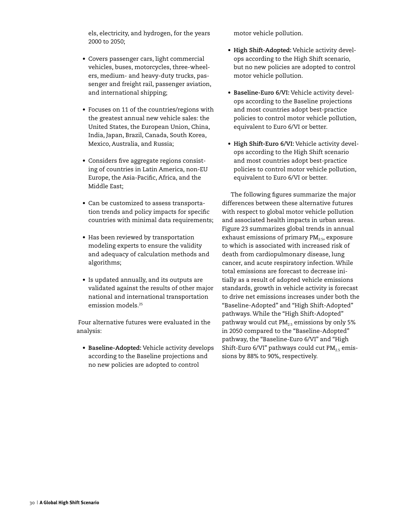els, electricity, and hydrogen, for the years 2000 to 2050;

- • Covers passenger cars, light commercial vehicles, buses, motorcycles, three-wheelers, medium- and heavy-duty trucks, passenger and freight rail, passenger aviation, and international shipping;
- • Focuses on 11 of the countries/regions with the greatest annual new vehicle sales: the United States, the European Union, China, India, Japan, Brazil, Canada, South Korea, Mexico, Australia, and Russia;
- • Considers five aggregate regions consisting of countries in Latin America, non-EU Europe, the Asia-Pacific, Africa, and the Middle East;
- Can be customized to assess transportation trends and policy impacts for specific countries with minimal data requirements;
- Has been reviewed by transportation modeling experts to ensure the validity and adequacy of calculation methods and algorithms;
- • Is updated annually, and its outputs are validated against the results of other major national and international transportation emission models.25

 Four alternative futures were evaluated in the analysis:

• **Baseline-Adopted:** Vehicle activity develops according to the Baseline projections and no new policies are adopted to control

motor vehicle pollution.

- • **High Shift-Adopted:** Vehicle activity develops according to the High Shift scenario, but no new policies are adopted to control motor vehicle pollution.
- • **Baseline-Euro 6/VI:** Vehicle activity develops according to the Baseline projections and most countries adopt best-practice policies to control motor vehicle pollution, equivalent to Euro 6/VI or better.
- • **High Shift-Euro 6/VI:** Vehicle activity develops according to the High Shift scenario and most countries adopt best-practice policies to control motor vehicle pollution, equivalent to Euro 6/VI or better.

The following figures summarize the major differences between these alternative futures with respect to global motor vehicle pollution and associated health impacts in urban areas. Figure 23 summarizes global trends in annual exhaust emissions of primary  $PM<sub>2.5</sub>$ , exposure to which is associated with increased risk of death from cardiopulmonary disease, lung cancer, and acute respiratory infection. While total emissions are forecast to decrease initially as a result of adopted vehicle emissions standards, growth in vehicle activity is forecast to drive net emissions increases under both the "Baseline-Adopted" and "High Shift-Adopted" pathways. While the "High Shift-Adopted" pathway would cut  $PM_{25}$  emissions by only 5% in 2050 compared to the "Baseline-Adopted" pathway, the "Baseline-Euro 6/VI" and "High Shift-Euro 6/VI" pathways could cut  $PM_{25}$  emissions by 88% to 90%, respectively.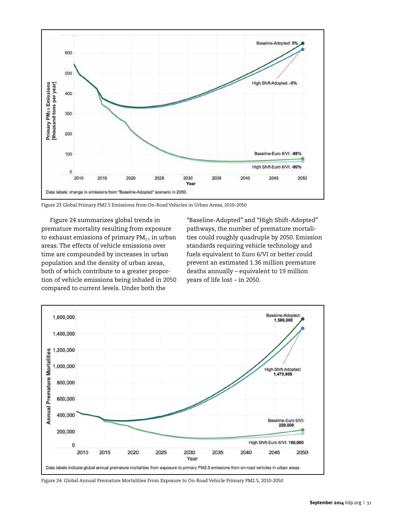

Figure 23 Global Primary PM2.5 Emissions from On-Road Vehicles in Urban Areas, 2010-2050

Figure 24 summarizes global trends in premature mortality resulting from exposure to exhaust emissions of primary  $PM_{2.5}$  in urban areas. The effects of vehicle emissions over time are compounded by increases in urban population and the density of urban areas, both of which contribute to a greater proportion of vehicle emissions being inhaled in 2050 compared to current levels. Under both the

"Baseline-Adopted" and "High Shift-Adopted" pathways, the number of premature mortalities could roughly quadruple by 2050. Emission standards requiring vehicle technology and fuels equivalent to Euro 6/VI or better could prevent an estimated 1.36 million premature deaths annually – equivalent to 19 million years of life lost – in 2050.



Figure 24: Global Annual Premature Mortalities From Exposure to On-Road Vehicle Primary PM2.5, 2010-2050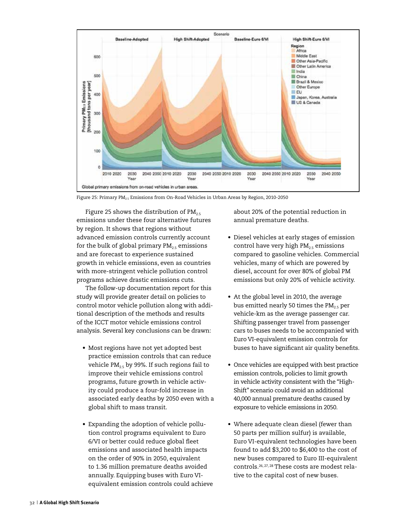

Figure 25: Primary P $M_{2.5}$  Emissions from On-Road Vehicles in Urban Areas by Region, 2010-2050

Figure 25 shows the distribution of  $PM_{2.5}$ emissions under these four alternative futures by region. It shows that regions without advanced emission controls currently account for the bulk of global primary  $PM_{25}$  emissions and are forecast to experience sustained growth in vehicle emissions, even as countries with more-stringent vehicle pollution control programs achieve drastic emissions cuts.

The follow-up documentation report for this study will provide greater detail on policies to control motor vehicle pollution along with additional description of the methods and results of the ICCT motor vehicle emissions control analysis. Several key conclusions can be drawn:

- Most regions have not yet adopted best practice emission controls that can reduce vehicle  $PM_{2.5}$  by 99%. If such regions fail to improve their vehicle emissions control programs, future growth in vehicle activity could produce a four-fold increase in associated early deaths by 2050 even with a global shift to mass transit.
- Expanding the adoption of vehicle pollution control programs equivalent to Euro 6/VI or better could reduce global fleet emissions and associated health impacts on the order of 90% in 2050, equivalent to 1.36 million premature deaths avoided annually. Equipping buses with Euro VIequivalent emission controls could achieve

about 20% of the potential reduction in annual premature deaths.

- • Diesel vehicles at early stages of emission control have very high  $PM_{25}$  emissions compared to gasoline vehicles. Commercial vehicles, many of which are powered by diesel, account for over 80% of global PM emissions but only 20% of vehicle activity.
- At the global level in 2010, the average bus emitted nearly 50 times the  $PM_{25}$  per vehicle-km as the average passenger car. Shifting passenger travel from passenger cars to buses needs to be accompanied with Euro VI-equivalent emission controls for buses to have significant air quality benefits.
- Once vehicles are equipped with best practice emission controls, policies to limit growth in vehicle activity consistent with the "High-Shift" scenario could avoid an additional 40,000 annual premature deaths caused by exposure to vehicle emissions in 2050.
- Where adequate clean diesel (fewer than 50 parts per million sulfur) is available, Euro VI-equivalent technologies have been found to add \$3,200 to \$6,400 to the cost of new buses compared to Euro III-equivalent controls.26, 27, 28 These costs are modest relative to the capital cost of new buses.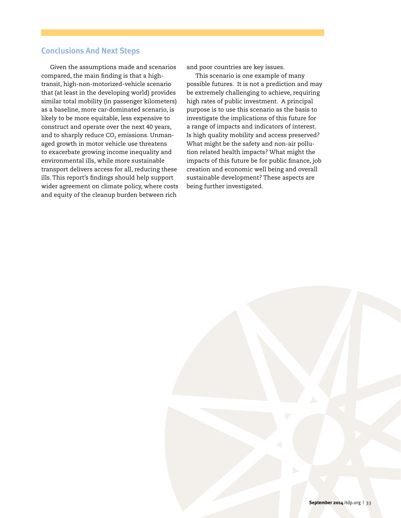## **Conclusions And Next Steps**

Given the assumptions made and scenarios compared, the main finding is that a hightransit, high-non-motorized-vehicle scenario that (at least in the developing world) provides similar total mobility (in passenger kilometers) as a baseline, more car-dominated scenario, is likely to be more equitable, less expensive to construct and operate over the next 40 years, and to sharply reduce  $CO<sub>2</sub>$  emissions. Unmanaged growth in motor vehicle use threatens to exacerbate growing income inequality and environmental ills, while more sustainable transport delivers access for all, reducing these ills. This report's findings should help support wider agreement on climate policy, where costs and equity of the cleanup burden between rich

and poor countries are key issues.

This scenario is one example of many possible futures. It is not a prediction and may be extremely challenging to achieve, requiring high rates of public investment. A principal purpose is to use this scenario as the basis to investigate the implications of this future for a range of impacts and indicators of interest. Is high quality mobility and access preserved? What might be the safety and non-air pollution related health impacts? What might the impacts of this future be for public finance, job creation and economic well being and overall sustainable development? These aspects are being further investigated.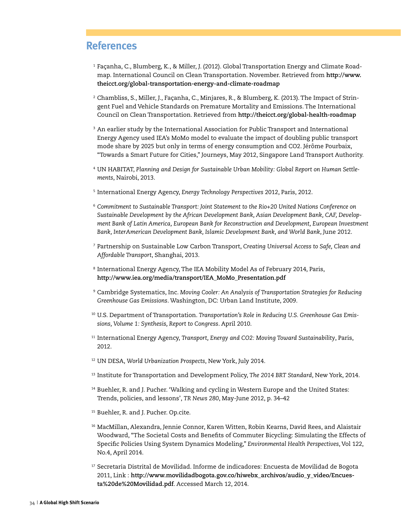# **References**

- <sup>1</sup> Façanha, C., Blumberg, K., & Miller, J. (2012). Global Transportation Energy and Climate Roadmap. International Council on Clean Transportation. November. Retrieved from **http://www. theicct.org/global-transportation-energy-and-climate-roadmap**
- <sup>2</sup> Chambliss, S., Miller, J., Façanha, C., Minjares, R., & Blumberg, K. (2013). The Impact of Stringent Fuel and Vehicle Standards on Premature Mortality and Emissions. The International Council on Clean Transportation. Retrieved from **http://theicct.org/global-health-roadmap**
- $3$  An earlier study by the International Association for Public Transport and International Energy Agency used IEA's MoMo model to evaluate the impact of doubling public transport mode share by 2025 but only in terms of energy consumption and CO2. Jérôme Pourbaix, "Towards a Smart Future for Cities," Journeys, May 2012, Singapore Land Transport Authority.
- <sup>4</sup> UN HABITAT, *Planning and Design for Sustainable Urban Mobility: Global Report on Human Settlements*, Nairobi, 2013.
- <sup>5</sup> International Energy Agency, *Energy Technology Perspectives* 2012, Paris, 2012.
- <sup>6</sup> *Commitment to Sustainable Transport: Joint Statement to the Rio+20 United Nations Conference on Sustainable Development by the African Development Bank, Asian Development Bank, CAF, Development Bank of Latin America, European Bank for Reconstruction and Development, European Investment Bank, InterAmerican Development Bank, Islamic Development Bank, and World Bank*, June 2012.
- <sup>7</sup> Partnership on Sustainable Low Carbon Transport, *Creating Universal Access to Safe, Clean and Affordable Transport*, Shanghai, 2013.
- <sup>8</sup> International Energy Agency, The IEA Mobility Model As of February 2014, Paris, **http://www.iea.org/media/transport/IEA\_MoMo\_Presentation.pdf**
- <sup>9</sup> Cambridge Systematics, Inc. *Moving Cooler: An Analysis of Transportation Strategies for Reducing Greenhouse Gas Emissions*. Washington, DC: Urban Land Institute, 2009.
- <sup>10</sup> U.S. Department of Transportation. *Transportation's Role in Reducing U.S. Greenhouse Gas Emissions, Volume 1: Synthesis, Report to Congress*. April 2010.
- <sup>11</sup> International Energy Agency, *Transport, Energy and CO2: Moving Toward Sustainability*, Paris, 2012.
- <sup>12</sup> UN DESA, *World Urbanization Prospects*, New York, July 2014.
- <sup>13</sup> Institute for Transportation and Development Policy, *The 2014 BRT Standard*, New York, 2014.
- <sup>14</sup> Buehler, R. and J. Pucher. 'Walking and cycling in Western Europe and the United States: Trends, policies, and lessons', *TR News 280*, May-June 2012, p. 34–42
- <sup>15</sup> Buehler, R. and J. Pucher. Op.cite.
- <sup>16</sup> MacMillan, Alexandra, Jennie Connor, Karen Witten, Robin Kearns, David Rees, and Alaistair Woodward, "The Societal Costs and Benefits of Commuter Bicycling: Simulating the Effects of Specific Policies Using System Dynamics Modeling," *Environmental Health Perspectives*, Vol 122, No.4, April 2014.
- <sup>17</sup> Secretaria Distrital de Movilidad. Informe de indicadores: Encuesta de Movilidad de Bogota 2011, Link : **http://www.movilidadbogota.gov.co/hiwebx\_archivos/audio\_y\_video/Encuesta%20de%20Movilidad.pdf**. Accessed March 12, 2014.